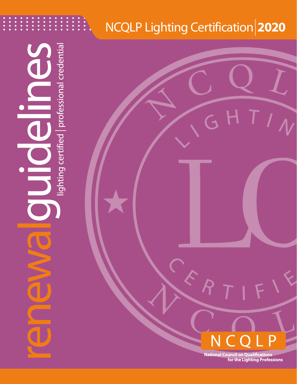# NCQLP Lighting Certification**|2020**

G H

lighting certified | professional credential

P N  $\left( \ \right)$ 

TIN

**National Council on Qualifications<br>for the Lighting Professions**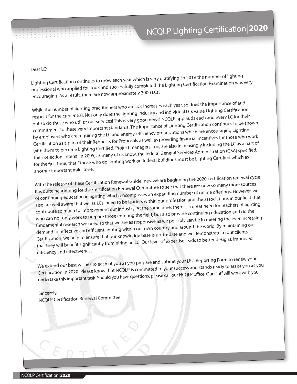#### Dear LC:

Lighting Certification continues to grow each year which is very gratifying. In 2019 the number of lighting professional who applied for, took and successfully completed the Lighting Certification Examination was very encouraging. As a result, there are now approximately 3000 LCs.

While the number of lighting practitioners who are LCs increases each year, so does the importance of and respect for the credential. Not only does the lighting industry and individual LCs value Lighting Certification, but so do those who utilize our services! This is very good news! NCQLP applauds each and every LC for their commitment to these very important standards. The importance of Lighting Certification continues to be shown by employers who are requiring the LC and energy-efficiency organizations which are encouraging Lighting Certification as a part of their Requests for Proposals as well as providing financial incentives for those who work with them to become Lighting Certified. Project managers, too, are also increasingly including the LC as a part o<sup>f</sup> their selection criteria. In 2005, as many of us know, the federal General Services Administration (GSA) specified, for the first time, that, "those who do lighting work on federal buildings must be Lighting Certified which as another important milestone.

With the release of these Certification Renewal Guidelines, we are beginning the 2020 certification renewal cycle. It is quite heartening for the Certification Renewal Committee to see that there are now so many more sources of continuing education in lighting which encompasses an expanding number of online offerings. However, we also are well aware that we, as LCs, need to be leaders within our profession and the associations in our field that contribute so much to improvement our industry. At the same time, there is a great need for teachers of lighting who can not only work to prepare those entering the field, but also provide continuing education and do the fundamental research we need so that we are as responsive as we possibly can be in meeting the ever increasing demand for effective and efficient lighting within our own country and around the world. By maintaining our Certification, we help to ensure that our knowledge base is up-to-date and we demonstrate to our clients that they will benefit significantly from hiring an LC. Our level of expertise leads to better designs, improved efficiency and effectiveness.

We extend our best wishes to each of you as you prepare and submit your LEU Reporting Form to renew your Certification in 2020. Please know that NCQLP is committed to your success and stands ready to assist you as you undertake this important task. Should you have questions, please call our NCQLP office. Our staff will work with you.

Sincerely, NCQLP Certification Renewal Committee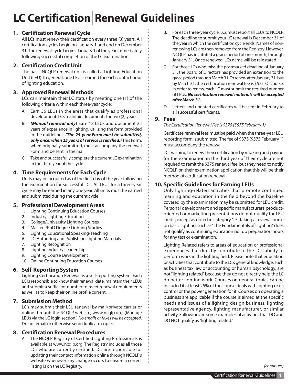# **LC Certification|Renewal Guidelines**

# **1. Certification Renewal Cycle**

All LCs must renew their certification every three (3) years. All certification cycles begin on January 1 and end on December 31. The renewal cycle begins January 1 of the year immediately following successful completion of the LC examination.

# **2. Certification Credit Unit**

The basic NCQLP renewal unit is called a Lighting Education Unit (LEU). In general, one LEU is earned for each contact hour of lighting education*.*

# **3. Approved Renewal Methods**

LCs can maintain their LC status by meeting one (1) of the following criteria within each three-year cycle:

- A. Earn 36 LEUs in the areas that qualify as professional development. LCs maintain documents for two (2) years.
- B. *(Manual renewal only)* Earn 18 LEUs and document 25 years of experience in lighting, utilizing the form provided in the guidelines. *(The 25-year Form must be submitted, only once, when 25 years of service is reached.)* This Form, when originally submitted, must accompany the renewal Form and be sent in the mail.
- C. Take and successfully complete the current LC examination in the third year of the cycle.

# **4. Time Requirements for Each Cycle**

Units may be acquired as of the first day of the year following the examination for successful LCs. All LEUs for a three-year cycle may be earned in any one year. All units must be earned and submitted during the current cycle.

# **5. Professional Development Areas**

- 1. Lighting Continuing Education Courses
- 2. Industry Lighting Education
- 3. College/University Lighting Courses
- 4. Masters/PhD Degree Lighting Studies
- 5. Lighting Educational Speaking/Teaching
- 6. LC-Authoring and Publishing Lighting Materials
- 7. Lighting Recognition
- 8. Lighting Industry Leadership
- 9. Lighting Course Development
- 10. Online Continuing Education Courses

### **6. Self-Reporting System**

Lighting Certification Renewal is a self-reporting system. Each LC is responsible to know their renewal date, maintain their LEUs and submit a sufficient number to meet renewal requirements as well as to keep their online profile current.

# **7. Submission Method**

LC's may submit their LEU renewal by mail/private carrier or online through the NCQLP website, www.ncqlp.org. (Manage LEUs via the LC login section.) *No emails or faxes will be accepted*. Do not email or otherwise send duplicate copies.

### **8. Certification Renewal Procedures**

A. The NCQLP Registry of Certified Lighting Professionals is available at www.ncqlp.org. The Registry includes all those LCs who are currently certified. LCs are responsible for updating their contact information online through NCQLP's website whenever any change occurs to ensure a correct listing is on the LC Registry.

- B. For each three-year cycle, LCs must report all LEUs to NCQLP. The deadline to submit your LC renewal is December 31 of the year in which the certification cycle ends. Names of nonrenewing LCs are then removed from the Registry. However, NCQLP has instituted a grace period of one month, through January 31. Once renewed, LCs name will be reinstated.
- C. For those LCs who miss the postmarked deadline of January 31, the Board of Directors has provided an extension to the grace period through March 31. To renew after January 31, but by March 31, the certification renewal fee is \$575. Of course, in order to renew, each LC must submit the required number of LEUs. *No certification renewal materials will be accepted after March 31.*
- D. Letters and updated certificates will be sent in February to all successful certificants.

### **9. Fees**

#### *The Certification Renewal Fee is \$375 (\$575 February 1)*

Certificate renewal fees must be paid when the three-year LEU reporting form is submitted. The fee of \$375 (\$575 February 1) must accompany the renewal.

LCs wishing to renew their certification by retaking and paying for the examination in the third year of their cycle are not required to remit the \$375 renewal fee, but they need to notify NCQLP on their examination application that this will be their method of certification renewal.

## **10. Specific Guidelines for Earning LEUs**

Only lighting-related activities that promote continued learning and education in the field beyond the baseline covered by the examination may be submitted for LEU credit. Personal development and specific manufacturers' productoriented or marketing presentations do not qualify for LEU credit, except as noted in category 1.5. Taking a review course on basic lighting, such as "The Fundamentals of Lighting," does not qualify as continuing education nor do preparation hours for any test or examination.

Lighting Related refers to areas of education or professional experiences that directly contribute to the LC's ability to perform work in the lighting field. Please note that education or activities that contribute to the LC's general knowledge, such as business tax law or accounting or human psychology, are not "lighting related" because they do not directly help the LC do better lighting work. Courses on general topics can be included if at least 25% of the course deals with lighting or its control or the power generation for it. Courses on operating a business are applicable if the course is aimed at the specific needs and issues of a lighting design business, lighting representative agency, lighting manufacturer, or similar activity. Following are some examples of activities that DO and DO NOT qualify as "lighting related."

*(continues)*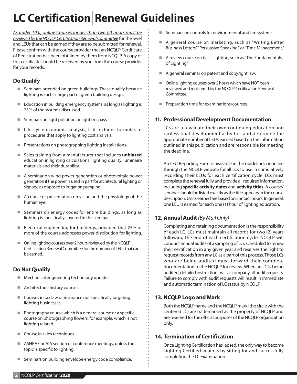# **LC Certification|Renewal Guidelines**

*As under 10.0, online Courses longer than two (2) hours must be reviewed by the NCQLP Certification Renewal Committee* for the level and LEUs that can be earned if they are to be submitted for renewal. Please confirm with the course provider that an NCQLP Certificate of Registration has been obtained by them from NCQLP. A copy of this certificate should be received by you from the course provider for your records.

# **Do Qualify**

- Seminars attended on green buildings. These qualify because lighting is such a large part of green building design.
- Education in building emergency systems, as long as lighting is 25% of the systems discussed.
- Seminars on light pollution or light trespass.
- Life cycle economic analysis, if it includes formulas or procedures that apply to lighting cost analysis.
- **Presentations on photographing lighting installations.**
- Sales training from a manufacturer that includes **unbiased** education in lighting calculations, lighting quality, luminaire materials and their durability.
- A seminar on wind power generation or photovoltaic power generation if the power is used in part for architectural lighting or signage as opposed to irrigation pumping.
- A course or presentation on vision and the physiology of the human eye.
- $\blacksquare$  Seminars on energy codes for entire buildings, as long as lighting is specifically covered in the seminar.
- $\blacksquare$  Electrical engineering for buildings, provided that 25% or more of the course addresses power distribution for lighting.
- Online lighting courses over 2 hours reviewed by the NCQLP Certification Renewal Committee for the number of LEUs that can be earned.

# **Do Not Qualify**

- Mechanical engineering technology updates.
- Architectural history courses.
- Courses in tax law or insurance not specifically targeting lighting businesses.
- **Photography course which is a general course or a specific** course on photographing flowers, for example, which is not lighting related.
- Course in sales techniques.
- ASHRAE or AIA section or conference meetings, unless the topic is specific to lighting.
- Seminars on building envelope energy code compliance.
- Seminars on controls for environmental and fire systems.
- A general course on marketing, such as "Writing Better Business Letters," "Persuasive Speaking," or "Time Management."
- A review course on basic lighting, such as "The Fundamentals of Lighting."
- A general seminar on patent and copyright law.
- Online lighting courses over 2 hours which have NOT been reviewed and registered by the NCQLP Certification Renewal Committee.
- Preparation time for examinations/courses.

# **11. Professional Development Documentation**

LCs are to evaluate their own continuing education and professional development activities and determine the appropriate number of LEUs earned based on the information outlined in this publication and are responsible for meeting the deadline.

An LEU Reporting Form is available in the guidelines or online through the NCQLP website for all LCs to use in cumulatively recording their LEUs for each certification cycle. LCs must complete the renewal fully and provide all required information, including **specific activity dates** and **activity titles**. A course/ seminar should be listed exactly as the title appears in the course description. Units earned are based on contact hours. In general, one LEU is earned for each one (1) hour of lighting education.

# **12. Annual Audit** *(By Mail Only)*

Completing and retaining documentation is the responsibility of each LC. LCs must maintain all records for two (2) years following the end of each certification cycle. NCQLP will conduct annual audits of a sampling of LCs scheduled to renew their certification in any given year and reserves the right to request records from any LC as a part of this process. Those LCs who are being audited must forward their complete documentation to the NCQLP for review. When an LC is being audited, detailed instructions will accompany all audit requests. Failure to comply with audit requests will result in immediate and automatic termination of LC status by NCQLP.

# **13. NCQLP Logo and Mark**

Both the NCQLP name and the NCQLP mark (the circle with the centered LC) are trademarked as the property of NCQLP and are reserved for the official purposes of the NCQLP organization only.

# **14. Termination of Certification**

Once Lighting Certification has lapsed, the only way to become Lighting Certified again is by sitting for and successfully completing the LC Examination.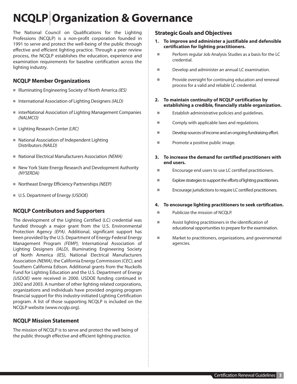# **NCQLP| Organization & Governance**

The National Council on Qualifications for the Lighting Professions (NCQLP) is a non-profit corporation founded in 1991 to serve and protect the well-being of the public through effective and efficient lighting practice. Through a peer review process, the NCQLP establishes the education, experience and examination requirements for baseline certification across the lighting industry.

# **NCQLP Member Organizations**

- Illuminating Engineering Society of North America (IES)
- International Association of Lighting Designers *(IALD)*
- interNational Association of Lighting Management Companies *(NALMCO)*
- Lighting Research Center *(LRC)*
- National Association of Independent Lighting Distributors *(NAILD)*
- National Electrical Manufacturers Association *(NEMA)*
- New York State Energy Research and Development Authority *(NYSERDA)*
- Northeast Energy Efficiency Partnerships (NEEP)
- U.S. Department of Energy *(USDOE)*

# **NCQLP Contributors and Supporters**

The development of the Lighting Certified (LC) credential was funded through a major grant from the U.S. Environmental Protection Agency *(EPA)*. Additional, significant support has been provided by the U.S. Department of Energy-Federal Energy Management Program *(FEMP)*, International Association of Lighting Designers *(IALD)*, Illuminating Engineering Society of North America *(IES)*, National Electrical Manufacturers Association *(NEMA)*, the California Energy Commission *(CEC)*, and Southern California Edison. Additional grants from the Nuckolls Fund for Lighting Education and the U.S. Department of Energy *(USDOE)* were received in 2000. USDOE funding continued in 2002 and 2003. A number of other lighting related corporations, organizations and individuals have provided ongoing program financial support for this industry-initiated Lighting Certification program. A list of those supporting NCQLP is included on the NCQLP website (www.ncqlp.org).

# **NCQLP Mission Statement**

The mission of NCQLP is to serve and protect the well being of the public through effective and efficient lighting practice.

# **Strategic Goals and Objectives**

- **1. To improve and administer a justifiable and defensible certification for lighting practitioners.**
- **Perform regular Job Analysis Studies as a basis for the LC** credential.
- Develop and administer an annual LC examination.
- **Provide oversight for continuing education and renewal** process for a valid and reliable LC credential.
- **2. To maintain continuity of NCQLP certification by establishing a credible, financially stable organization.**
- **Establish administrative policies and quidelines.**
- Comply with applicable laws and regulations.
- Develop sources of income and an ongoing fundraising effort.
- **Promote a positive public image.**

#### **3. To increase the demand for certified practitioners with end users.**

- **Encourage end users to use LC certified practitioners.**
- Explore strategies to support the efforts of lighting practitioners.
- Encourage jurisdictions to require LC certified practitioners.

#### **4. To encourage lighting practitioners to seek certification.**

- Publicize the mission of NCQLP.
- Assist lighting practitioners in the identification of educational opportunities to prepare for the examination.
- **Market to practitioners, organizations, and governmental** agencies.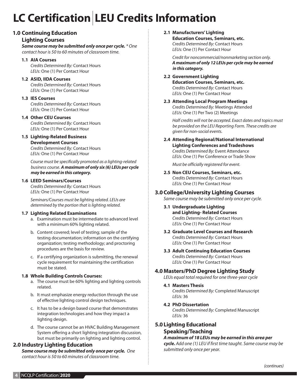# **LC Certification| LEU Credits Information**

## **1.0 Continuing Education**

#### **Lighting Courses**

*Same course may be submitted only once per cycle. \* One contact hour is 50 to 60 minutes of classroom time.*

#### **1.1 AIA Courses**

*Credits Determined By:* Contact Hours *LEUs:* One (1) Per Contact Hour

#### **1.2 ASID, IIDA Courses**

*Credits Determined By:* Contact Hours *LEUs:* One (1) Per Contact Hour

#### **1.3 IES Courses**

*Credits Determined By:* Contact Hours *LEUs:* One (1) Per Contact Hour

#### **1.4 Other CEU Courses**

*Credits Determined By:* Contact Hours *LEUs:* One (1) Per Contact Hour

#### **1.5 Lighting-Related Business**

**Development Courses** *Credits Determined By:* Contact Hours *LEUs:* One (1) Per Contact Hour

*Course must be specifically promoted as a lighting-related business course. A maximum of only six (6) LEUs per cycle may be earned in this category.*

#### **1.6 LEED Seminars/Courses**

*Credits Determined By:* Contact Hours *LEUs:* One (1) Per Contact Hour

*Seminars/Courses must be lighting related. LEUs are determined by the portion that is lighting related.*

#### **1.7 Lighting Related Examinations**

- a. Examination must be intermediate to advanced level with a minimum 60% lighting related.
- b. Content covered; level of testing; sample of the testing documentation; information on the certifying organization; testing methodology; and proctoring procedures are the basis for review.
- c. If a certifying organization is submitting, the renewal cycle requirement for maintaining the certification must be stated.

#### **1.8 Whole Building Controls Courses:**

- a. The course must be 60% lighting and lighting controls related.
- b. It must emphasize energy reduction through the use of effective lighting control design techniques.
- c. It has to be a design based course that demonstrates integration technologies and how they impact a lighting design.
- d. The course cannot be an HVAC Building Management System offering a short lighting integration discussion, but must be primarily on lighting and lighting control.

### **2.0 Industry Lighting Education**

*Same course may be submitted only once per cycle. One contact hour is 50 to 60 minutes of classroom time.*

**2.1 Manufacturers' Lighting Education Courses, Seminars, etc.**

*Credits Determined By:* Contact Hours *LEUs:* One (1) Per Contact Hour

*Credit for noncommercial/nonmarketing section only. A maximum of only 12 LEUs per cycle may be earned in this category.*

#### **2.2 Government Lighting**

**Education Courses, Seminars, etc.** *Credits Determined By:* Contact Hours *LEUs:* One (1) Per Contact Hour

**2.3 Attending Local Program Meetings** *Credits Determined By:* Meetings Attended *LEUs:* One (1) Per Two (2) Meetings

*Half credits will not be accepted. Exact dates and topics must be provided on the LEU Reporting Form. These credits are given for non-social events.*

## **2.4 Attending Regional/National International Lighting Conferences and Tradeshows**

*Credits Determined By:* Event Attendance *LEUs:* One (1) Per Conference or Trade Show

*Must be officially registered for event.*

**2.5 Non CEU Courses, Seminars, etc.** *Credits Determined By:* Contact Hours *LEUs:* One (1) Per Contact Hour

### **3.0College/University Lighting Courses**

*Same course may be submitted only once per cycle.*

- **3.1 Undergraduate Lighting and Lighting- Related Courses** *Credits Determined By:* Contact Hours *LEUs:* One (1) Per Contact Hour
- **3.2 Graduate Level Courses and Research** *Credits Determined By:* Contact Hours *LEUs:* One (1) Per Contact Hour

#### **3.3 Adult Continuing Education Courses** *Credits Determined By:* Contact Hours *LEUs:* One (1) Per Contact Hour

### **4.0 Masters/PhD Degree Lighting Study**

*LEUs equal total required for one three-year cycle*

#### **4.1 Masters Thesis**

*Credits Determined By:* Completed Manuscript *LEUs:* 36

**4.2 PhD Dissertation**

*Credits Determined By:* Completed Manuscript *LEUs:* 36

## **5.0Lighting Educational Speaking/Teaching**

#### *A maximum of 18 LEUs may be earned in this area per cycle. Add one (1) LEU if first time taught. Same course may be submitted only once per year.*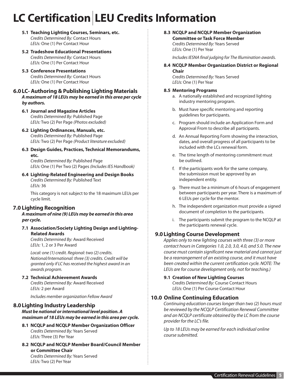# **LC Certification| LEU Credits Information**

- **5.1 Teaching Lighting Courses, Seminars, etc.** *Credits Determined By:* Contact Hours *LEUs:* One (1) Per Contact Hour
- **5.2 Tradeshow Educational Presentations** *Credits Determined By:* Contact Hours *LEUs:* One (1) Per Contact Hour
- **5.3 Conference Presentations** *Credits Determined By:* Contact Hours *LEUs:* One (1) Per Contact Hour

#### **6.0LC- Authoring & Publishing Lighting Materials** *A maximum of 18 LEUs may be earned in this area per cycle by authors.*

- **6.1 Journal and Magazine Articles** *Credits Determined By:* Published Page *LEUs:* Two (2) Per Page *(Photos excluded)*
- **6.2 Lighting Ordinances, Manuals, etc.** *Credits Determined By:* Published Page *LEUs:* Two (2) Per Page *(Product literature excluded)*

# **6.3 Design Guides, Practices, Technical Memorandums, etc.**

*Credits Determined By:* Published Page *LEUs:* One (1) Per Two (2) Pages *(Includes IES Handbook)*

**6.4 Lighting-Related Engineering and Design Books** *Credits Determined By:* Published Text *LEUs:* 36

This category is not subject to the 18 maximum LEUs per cycle limit.

#### **7.0 Lighting Recognition**

*A maximum of nine (9) LEUs may be earned in this area per cycle.*

#### **7.1 Association/Society Lighting Design and Lighting-Related Awards**

*Credits Determined By:* Award Received *LEUs:* 1, 2 or 3 Per Award

*Local: one (1) credit. Regional: two (2) credits. National/International: three (3) credits. Credit will be granted only if LC has received the highest award in an awards program.*

#### **7.2 Technical Achievement Awards**

*Credits Determined By:* Award Received *LEUs:* 2 per Award

*Includes member organization Fellow Award*

# **8.0Lighting Industry Leadership**

*Must be national or international level position. A maximum of 18 LEUs may be earned in this area per cycle.* 

- **8.1 NCQLP and NCQLP Member Organization Officer** *Credits Determined By:* Years Served *LEUs:* Three (3) Per Year
- **8.2 NCQLP and NCQLP Member Board/Council Member or Committee Chair**

*Credits Determined By:* Years Served *LEUs:* Two (2) Per Year

#### **8.3 NCQLP and NCQLP Member Organization Committee or Task Force Member**

*Credits Determined By:* Years Served *LEUs:* One (1) Per Year

*Includes IESNA final judging for The Illumination awards.*

#### **8.4 NCQLP Member Organization District or Regional Chair**

*Credits Determined By:* Years Served *LEUs:* One (1) Per Year

#### **8.5 Mentoring Programs**

- a. A nationally established and recognized lighting industry mentoring program.
- b. Must have specific mentoring and reporting guidelines for participants.
- c. Program should include an Application Form and Approval From to describe all participants.
- d. An Annual Reporting Form showing the interaction, dates, and overall progress of all participants to be included with the LCs renewal form.
- e. The time length of mentoring commitment must be outlined.
- f. If the participants work for the same company, the submission must be approved by an independent entity.
- g. There must be a minimum of 6 hours of engagement between participants per year. There is a maximum of 6 LEUs per cycle for the mentor.
- h. The independent organization must provide a signed document of completion to the participants.
- i. The participants submit the program to the NCQLP at the participants renewal cycle.

### **9.0Lighting Course Development**

*Applies only to new lighting courses with three (3) or more contact hours in Categories 1.0, 2.0, 3.0, 4.0, and 5.0. The new course must contain significant new material and cannot just be a rearrangement of an existing course, and it must have been created within the current certification cycle. NOTE: The LEUs are for course development only, not for teaching.)*

#### **9.1 Creation of New Lighting Courses**

*Credits Determined By:* Course Contact Hours *LEUs:* One (1) Per Course Contact Hour

## **10.0 Online Continuing Education 10.0 Online Continuing Education**

*Continuing education courses longer than two (2) hours must be reviewed by the NCQLP Certification Renewal Committee and an NCQLP certificate obtained by the LC from the course provider for the LC's file.*

*Up to 18 LEUs may be earned for each individual online course submitted.*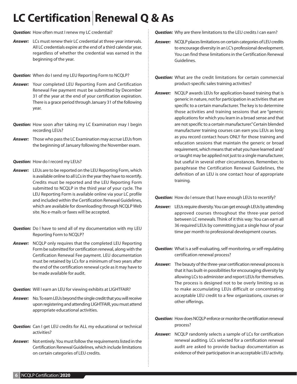# **LC Certification|Renewal Q & As**

*Question:* How often must I renew my LC credential?

*Answer:* LCs must renew their LC credential at three-year intervals. All LC credentials expire at the end of a third calendar year, regardless of whether the credential was earned in the beginning of the year.

*Question:* When do I send my LEU Reporting Form to NCQLP?

- *Answer:* Your completed LEU Reporting Form and Certification Renewal Fee payment must be submitted by December 31 of the year at the end of your certification expiration. There is a grace period through January 31 of the following year.
- *Question:* How soon after taking my LC Examination may I begin recording LEUs?
- *Answer:* Those who pass the LC Examination may accrue LEUs from the beginning of January following the November exam.

*Question:* How do I record my LEUs?

- *Answer:* LEUs are to be reported on the LEU Reporting Form, which is available online to all LCs in the year they have to recertify. Credits must be reported and the LEU Reporting Form submitted to NCQLP in the third year of your cycle. The LEU Reporting Form is available online via your LC profile and included within the Certification Renewal Guidelines, which are available for downloading through NCQLP Web site. No e-mails or faxes will be accepted.
- *Question:* Do I have to send all of my documentation with my LEU Reporting Form to NCQLP?
- *Answer:* NCQLP only requires that the completed LEU Reporting Form be submitted for certification renewal, along with the Certification Renewal Fee payment. LEU documentation must be retained by LCs for a minimum of two years after the end of the certification renewal cycle as it may have to be made available for audit.
- *Question:* Will I earn an LEU for viewing exhibits at LIGHTFAIR?
- *Answer:* No. To earn LEUs beyond the single credit that you will receive upon registering and attending LIGHTFAIR, you must attend appropriate educational activities.
- **Question:** Can I get LEU credits for ALL my educational or technical activities?
- *Answer:* Not entirely. You must follow the requirements listed in the Certification Renewal Guidelines, which include limitations on certain categories of LEU credits.

*Question:* Why are there limitations to the LEU credits I can earn?

- *Answer:* NCQLP places limitations on certain categories of LEU credits to encourage diversity in an LC's professional development. You can find these limitations in the Certification Renewal Guidelines.
- *Question:* What are the credit limitations for certain commercial product-specific sales training activities?
- *Answer:* NCQLP awards LEUs for application-based training that is generic in nature, not for participation in activities that are specific to a certain manufacturer. The key is to determine those activities and training sessions that are "generic applications for which you learn in a broad sense and that are not specific to a certain manufacturer." Certain blended manufacturer training courses can earn you LEUs as long as you record contact hours ONLY for those training and education sessions that maintain the generic or broad requirement, which means that what you have learned and/ or taught may be applied not just to a single manufacturer, but useful in several other circumstances. Remember, to paraphrase the Certification Renewal Guidelines, the definition of an LEU is one contact hour of appropriate training.

*Question:* How do I ensure that I have enough LEUs to recertify?

- *Answer:* LEUs require diversity. You can get enough LEUs by attending approved courses throughout the three-year period between LC renewals. Think of it this way: You can earn all 36 required LEUs by committing just a single hour of your time per month to professional development courses.
- *Question:* What is a self-evaluating, self-monitoring, or self-regulating certification renewal process?
- *Answer:* The beauty of the three-year certification renewal process is that it has built-in possibilities for encouraging diversity by allowing LCs to administer and report LEUs for themselves. The process is designed not to be overly limiting so as to make accumulating LEUs difficult or concentrating acceptable LEU credit to a few organizations, courses or other offerings.
- *Question:* How does NCQLP enforce or monitor the certification renewal process?
- *Answer:* NCQLP randomly selects a sample of LCs for certification renewal auditing. LCs selected for a certification renewal audit are asked to provide backup documentation as evidence of their participation in an acceptable LEU activity.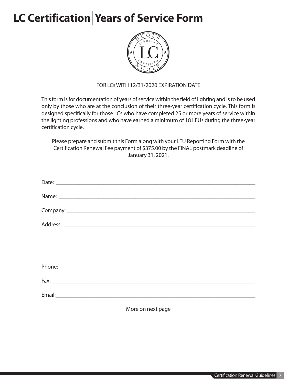# LC Certification Years of Service Form



# FOR LCs WITH 12/31/2020 EXPIRATION DATE

This form is for documentation of years of service within the field of lighting and is to be used only by those who are at the conclusion of their three-year certification cycle. This form is designed specifically for those LCs who have completed 25 or more years of service within the lighting professions and who have earned a minimum of 18 LEUs during the three-year certification cycle.

Please prepare and submit this Form along with your LEU Reporting Form with the Certification Renewal Fee payment of \$375.00 by the FINAL postmark deadline of January 31, 2021.

| <u> 1980 - An Dùbhlachd ann an Dùbhlachd ann an Dùbhlachd ann an Dùbhlachd ann an Dùbhlachd ann an Dùbhlachd ann a</u> |
|------------------------------------------------------------------------------------------------------------------------|
|                                                                                                                        |
|                                                                                                                        |
|                                                                                                                        |
|                                                                                                                        |

More on next page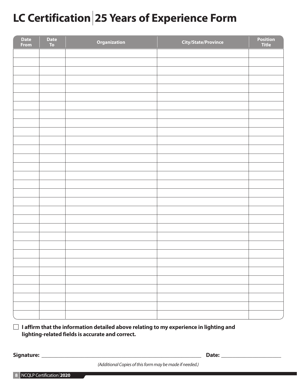# **LC Certification| 25 Years of Experience Form**

| <b>Date</b><br>From | Date<br>To | Organization | <b>City/State/Province</b> | Position<br>Title |
|---------------------|------------|--------------|----------------------------|-------------------|
|                     |            |              |                            |                   |
|                     |            |              |                            |                   |
|                     |            |              |                            |                   |
|                     |            |              |                            |                   |
|                     |            |              |                            |                   |
|                     |            |              |                            |                   |
|                     |            |              |                            |                   |
|                     |            |              |                            |                   |
|                     |            |              |                            |                   |
|                     |            |              |                            |                   |
|                     |            |              |                            |                   |
|                     |            |              |                            |                   |
|                     |            |              |                            |                   |
|                     |            |              |                            |                   |
|                     |            |              |                            |                   |
|                     |            |              |                            |                   |
|                     |            |              |                            |                   |
|                     |            |              |                            |                   |
|                     |            |              |                            |                   |
|                     |            |              |                            |                   |
|                     |            |              |                            |                   |
|                     |            |              |                            |                   |
|                     |            |              |                            |                   |
|                     |            |              |                            |                   |
|                     |            |              |                            |                   |
|                     |            |              |                            |                   |
|                     |            |              |                            |                   |
|                     |            |              |                            |                   |
|                     |            |              |                            |                   |
|                     |            |              |                            |                   |

# $\Box$  I affirm that the information detailed above relating to my experience in lighting and **lighting-related fields is accurate and correct.**

**Signature: \_\_\_\_\_\_\_\_\_\_\_\_\_\_\_\_\_\_\_\_\_\_\_\_\_\_\_\_\_\_\_\_\_\_\_\_\_\_\_\_\_\_\_\_\_\_\_\_\_\_\_\_\_\_\_\_ Date: \_\_\_\_\_\_\_\_\_\_\_\_\_\_\_\_\_\_\_\_\_**

*(Additional Copies of this form may be made if needed.)*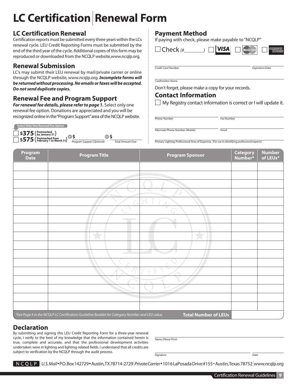# **LC Certification|Renewal Form**

# **LC Certification Renewal**

Certification reports must be submitted every three years within the LCs renewal cycle. LEU Credit Reporting Forms must be submitted by the end of the third year of the cycle. Additional copies of this form may be reproduced or downloaded from the NCQLP website,www.ncqlp.org.

# **Renewal Submission**

LC's may submit their LEU renewal by mail/private carrier or online through the NCQLP website, www.ncqlp.org. *Incomplete forms will be returned without processing. No emails or faxes will be accepted. Do not send duplicate copies.*

# **Renewal Fee and Program Support**

*For renewal fee details, please refer to page 1.* Select only one renewal fee option. Donations are appreciated and you will be recognized online in the "Program Support" area of the NCQLP website.

| Select Only One Renewal Fee Option              |                            |                         |
|-------------------------------------------------|----------------------------|-------------------------|
| $\Box$ \$375 (Postmarked)                       | OS.<br>g s                 |                         |
| $\Box$ \$575 (Postmarked from<br>1 to March 31) | Program Support (Optional) | <b>Total Amount Due</b> |

# **Payment Method**

If paying with check, please make payable to "NCQLP"

 $\Box$  Check  $\mu$   $\Box$   $\Box$  **VISA** 

**Credit Card Number Contact Contact Contact Contact Contact Contact Contact Contact Contact Contact Contact Contact Contact Contact Contact Contact Contact Contact Contact Contact Contact Contact Contact Contact Contact Co** 

Cardholders Name

Don't forget, please make a copy for your records.

# **Contact Information**

Phone Number Fax Number

 $\Box$  My Registry contact information is correct or I will update it.

Alternate Phone Number *(Mobile)* Email

Primary Lighting Professional Area of Expertise (For use in identifying professional experts)

| Program<br><b>Date</b> | <b>Program Title</b>                                                                           | <b>Program Sponsor</b>      | <b>Category</b><br>Number* | <b>Number</b><br>of LEUs* |
|------------------------|------------------------------------------------------------------------------------------------|-----------------------------|----------------------------|---------------------------|
|                        |                                                                                                |                             |                            |                           |
|                        |                                                                                                |                             |                            |                           |
|                        |                                                                                                |                             |                            |                           |
|                        |                                                                                                |                             |                            |                           |
|                        | $\mathcal{A}$                                                                                  | $\Lambda$                   |                            |                           |
|                        |                                                                                                | V                           |                            |                           |
|                        | <b>College</b>                                                                                 |                             |                            |                           |
|                        |                                                                                                |                             |                            |                           |
|                        |                                                                                                |                             |                            |                           |
|                        |                                                                                                |                             |                            |                           |
|                        | <b>Contract</b><br>m.                                                                          | w                           |                            |                           |
|                        |                                                                                                |                             |                            |                           |
|                        |                                                                                                | ▽                           |                            |                           |
|                        |                                                                                                |                             |                            |                           |
|                        |                                                                                                |                             |                            |                           |
|                        |                                                                                                |                             |                            |                           |
|                        |                                                                                                |                             |                            |                           |
|                        | *See Page 4 in the NCQLP LC Certification Guideline Booklet for Category Number and LEU value. | <b>Total Number of LEUs</b> |                            |                           |

# **Declaration**

By submitting and signing this LEU Credit Reporting Form for a three-year renewal cycle, I verify to the best of my knowledge that the information contained herein is true, complete and accurate, and that the professional development activities undertaken were in lighting and lighting-related fields. I understand that all credits are subject to verification by the NCQLP through the audit process.

Name *(Please Print)*

Signature Date

*|U.S. Mail* P.O. Box 142729 Austin, TX 78714-2729*|Private Carrier* 1016 LaPosada Drive #155 Austin, Texas 78752*|*www.ncqlp.org